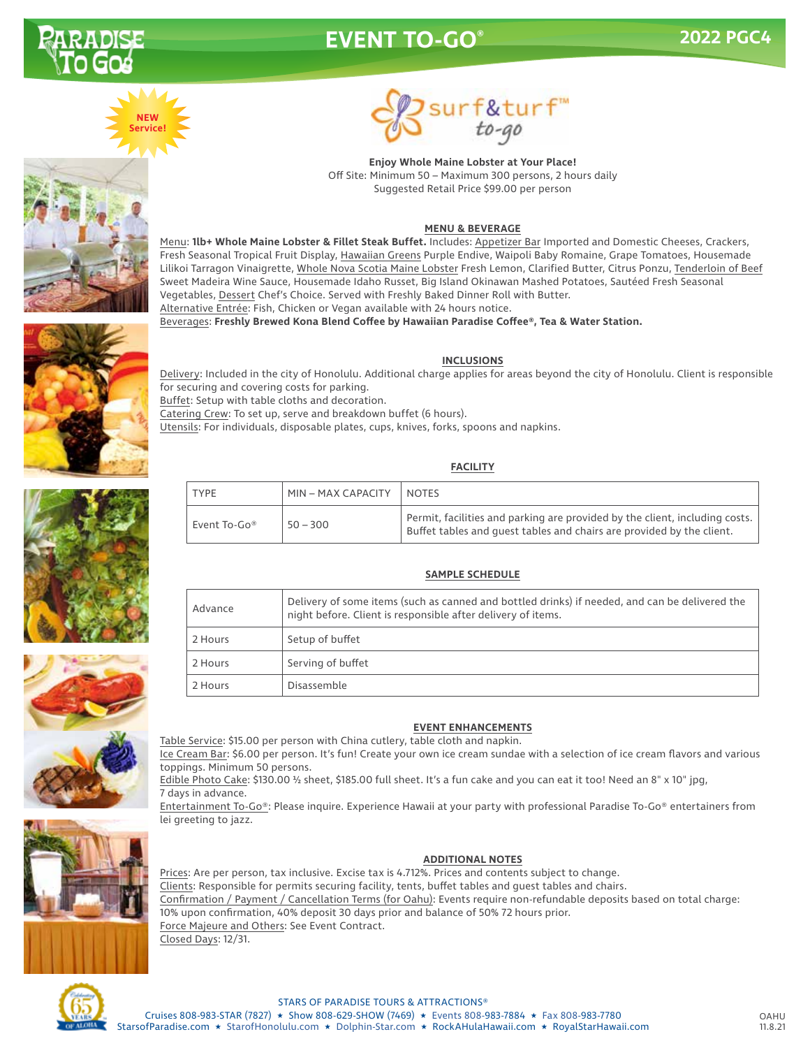

# **EVENT TO-GO®**









**Enjoy Whole Maine Lobster at Your Place!** Off Site: Minimum 50 – Maximum 300 persons, 2 hours daily Suggested Retail Price \$99.00 per person

# **MENU & BEVERAGE**

Menu: **1lb+ Whole Maine Lobster & Fillet Steak Buffet.** Includes: Appetizer Bar Imported and Domestic Cheeses, Crackers, Fresh Seasonal Tropical Fruit Display, Hawaiian Greens Purple Endive, Waipoli Baby Romaine, Grape Tomatoes, Housemade Lilikoi Tarragon Vinaigrette, Whole Nova Scotia Maine Lobster Fresh Lemon, Clarified Butter, Citrus Ponzu, Tenderloin of Beef Sweet Madeira Wine Sauce, Housemade Idaho Russet, Big Island Okinawan Mashed Potatoes, Sautéed Fresh Seasonal Vegetables, Dessert Chef's Choice. Served with Freshly Baked Dinner Roll with Butter. Alternative Entrée: Fish, Chicken or Vegan available with 24 hours notice.

Beverages: **Freshly Brewed Kona Blend Coffee by Hawaiian Paradise Coffee®, Tea & Water Station.**

# **INCLUSIONS**

Delivery: Included in the city of Honolulu. Additional charge applies for areas beyond the city of Honolulu. Client is responsible for securing and covering costs for parking.

Buffet: Setup with table cloths and decoration.

Catering Crew: To set up, serve and breakdown buffet (6 hours).

Utensils: For individuals, disposable plates, cups, knives, forks, spoons and napkins.

# **FACILITY**

| <b>TYPE</b>  | MIN - MAX CAPACITY | <b>NOTES</b>                                                                                                                                           |
|--------------|--------------------|--------------------------------------------------------------------------------------------------------------------------------------------------------|
| Event To-Go® | $50 - 300$         | Permit, facilities and parking are provided by the client, including costs.  <br>Buffet tables and guest tables and chairs are provided by the client. |

# **SAMPLE SCHEDULE**

| Advance | Delivery of some items (such as canned and bottled drinks) if needed, and can be delivered the<br>night before. Client is responsible after delivery of items. |  |  |
|---------|----------------------------------------------------------------------------------------------------------------------------------------------------------------|--|--|
| 2 Hours | Setup of buffet                                                                                                                                                |  |  |
| 2 Hours | Serving of buffet                                                                                                                                              |  |  |
| 2 Hours | Disassemble                                                                                                                                                    |  |  |
|         |                                                                                                                                                                |  |  |



Table Service: \$15.00 per person with China cutlery, table cloth and napkin.

Ice Cream Bar: \$6.00 per person. It's fun! Create your own ice cream sundae with a selection of ice cream flavors and various toppings. Minimum 50 persons.

Edible Photo Cake: \$130.00 ½ sheet, \$185.00 full sheet. It's a fun cake and you can eat it too! Need an 8" x 10" jpg, 7 days in advance.

Entertainment To-Go®: Please inquire. Experience Hawaii at your party with professional Paradise To-Go® entertainers from lei greeting to jazz.



# **ADDITIONAL NOTES**

Prices: Are per person, tax inclusive. Excise tax is 4.712%. Prices and contents subject to change. Clients: Responsible for permits securing facility, tents, buffet tables and guest tables and chairs. Confirmation / Payment / Cancellation Terms (for Oahu): Events require non-refundable deposits based on total charge: 10% upon confirmation, 40% deposit 30 days prior and balance of 50% 72 hours prior. Force Majeure and Others: See Event Contract. Closed Days: 12/31.